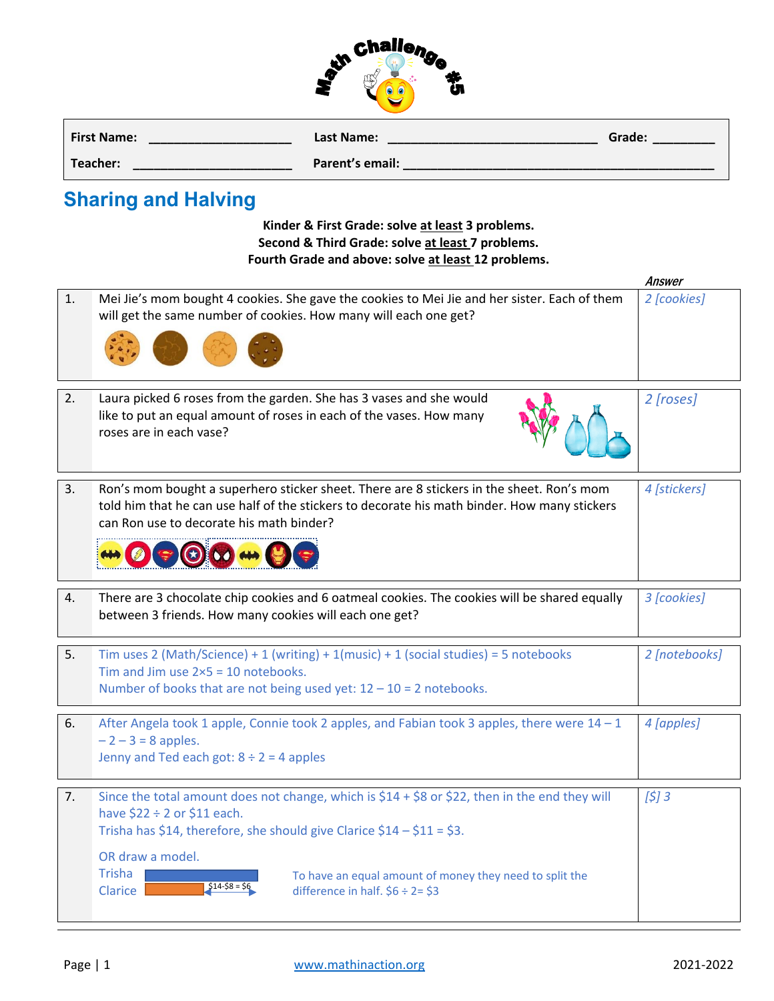

| <b>First Name:</b> | Last Name:      | Grade: |
|--------------------|-----------------|--------|
| Teacher:           | Parent's email: |        |

## **Sharing and Halving**

**Kinder & First Grade: solve at least 3 problems. Second & Third Grade: solve at least 7 problems. Fourth Grade and above: solve at least 12 problems.**

|    |                                                                                                                                                                                                                                                                                                                                                                                         | <b>Answer</b> |
|----|-----------------------------------------------------------------------------------------------------------------------------------------------------------------------------------------------------------------------------------------------------------------------------------------------------------------------------------------------------------------------------------------|---------------|
| 1. | Mei Jie's mom bought 4 cookies. She gave the cookies to Mei Jie and her sister. Each of them<br>will get the same number of cookies. How many will each one get?                                                                                                                                                                                                                        | 2 [cookies]   |
| 2. | Laura picked 6 roses from the garden. She has 3 vases and she would<br>like to put an equal amount of roses in each of the vases. How many<br>roses are in each vase?                                                                                                                                                                                                                   | 2 [roses]     |
| 3. | Ron's mom bought a superhero sticker sheet. There are 8 stickers in the sheet. Ron's mom<br>told him that he can use half of the stickers to decorate his math binder. How many stickers<br>can Ron use to decorate his math binder?                                                                                                                                                    | 4 [stickers]  |
| 4. | There are 3 chocolate chip cookies and 6 oatmeal cookies. The cookies will be shared equally<br>between 3 friends. How many cookies will each one get?                                                                                                                                                                                                                                  | 3 [cookies]   |
| 5. | Tim uses 2 (Math/Science) + 1 (writing) + 1(music) + 1 (social studies) = 5 notebooks<br>Tim and Jim use $2\times 5 = 10$ notebooks.<br>Number of books that are not being used yet: $12 - 10 = 2$ notebooks.                                                                                                                                                                           |               |
| 6. | After Angela took 1 apple, Connie took 2 apples, and Fabian took 3 apples, there were 14 - 1<br>$-2 - 3 = 8$ apples.<br>Jenny and Ted each got: $8 \div 2 = 4$ apples                                                                                                                                                                                                                   | 4 [apples]    |
| 7. | Since the total amount does not change, which is $$14 + $8$ or \$22, then in the end they will<br>have $$22 \div 2$ or $$11$ each.<br>Trisha has \$14, therefore, she should give Clarice $$14 - $11 = $3$ .<br>OR draw a model.<br><b>Trisha</b><br>To have an equal amount of money they need to split the<br>$$14-$8 = $6$<br><b>Clarice</b><br>difference in half. $$6 \div 2 = $3$ | [5]3          |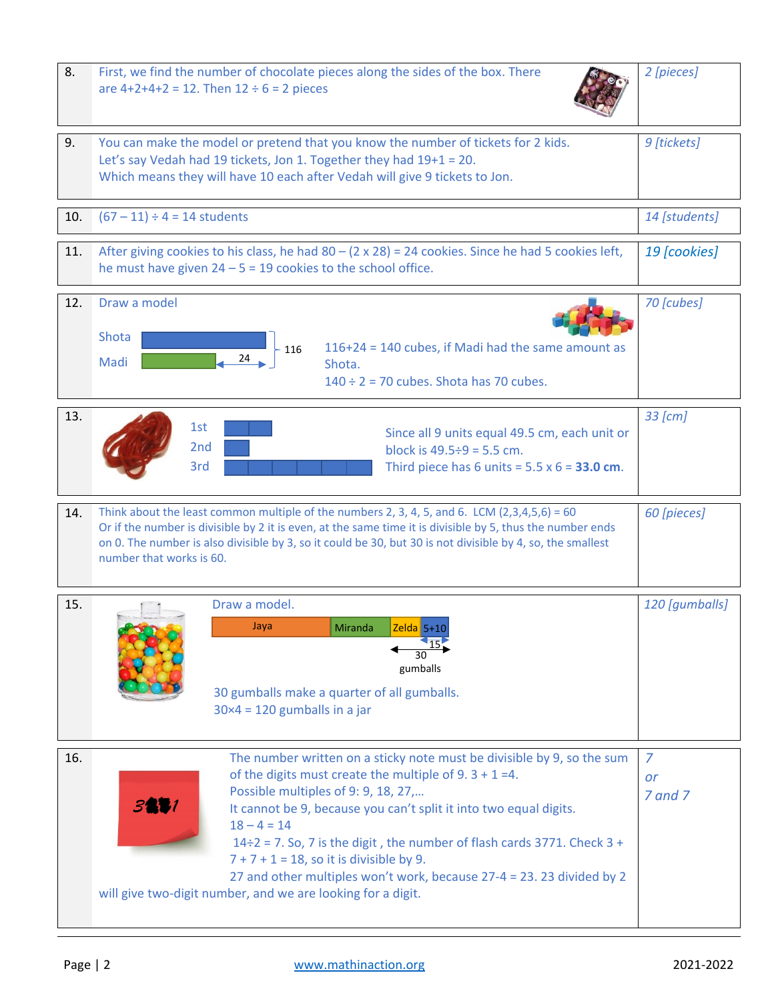| 8.  | First, we find the number of chocolate pieces along the sides of the box. There<br>are $4+2+4+2 = 12$ . Then $12 \div 6 = 2$ pieces                                                                                                                                                                                                                                                                                                                                                                                                               |                                 |  |
|-----|---------------------------------------------------------------------------------------------------------------------------------------------------------------------------------------------------------------------------------------------------------------------------------------------------------------------------------------------------------------------------------------------------------------------------------------------------------------------------------------------------------------------------------------------------|---------------------------------|--|
| 9.  | You can make the model or pretend that you know the number of tickets for 2 kids.<br>Let's say Vedah had 19 tickets, Jon 1. Together they had 19+1 = 20.<br>Which means they will have 10 each after Vedah will give 9 tickets to Jon.                                                                                                                                                                                                                                                                                                            |                                 |  |
| 10. | $(67 - 11) \div 4 = 14$ students                                                                                                                                                                                                                                                                                                                                                                                                                                                                                                                  | 14 [students]                   |  |
| 11. | After giving cookies to his class, he had $80 - (2 \times 28) = 24$ cookies. Since he had 5 cookies left,<br>he must have given $24 - 5 = 19$ cookies to the school office.                                                                                                                                                                                                                                                                                                                                                                       |                                 |  |
| 12. | Draw a model<br>Shota<br>116+24 = 140 cubes, if Madi had the same amount as<br>$-116$<br>24<br>Madi<br>Shota.<br>$140 \div 2 = 70$ cubes. Shota has 70 cubes.                                                                                                                                                                                                                                                                                                                                                                                     | 70 [cubes]                      |  |
| 13. | 1st<br>Since all 9 units equal 49.5 cm, each unit or<br>2 <sub>nd</sub><br>block is $49.5 \div 9 = 5.5$ cm.<br>3rd<br>Third piece has 6 units = $5.5 \times 6 = 33.0$ cm.                                                                                                                                                                                                                                                                                                                                                                         | 33 [cm]                         |  |
| 14. | Think about the least common multiple of the numbers 2, 3, 4, 5, and 6. LCM $(2,3,4,5,6) = 60$<br>Or if the number is divisible by 2 it is even, at the same time it is divisible by 5, thus the number ends<br>on 0. The number is also divisible by 3, so it could be 30, but 30 is not divisible by 4, so, the smallest<br>number that works is 60.                                                                                                                                                                                            |                                 |  |
| 15. | Draw a model.<br>Miranda Zelda 5+1<br>Jaya<br>gumballs<br>30 gumballs make a quarter of all gumballs.<br>$30\times4 = 120$ gumballs in a jar                                                                                                                                                                                                                                                                                                                                                                                                      | 120 [gumballs]                  |  |
| 16. | The number written on a sticky note must be divisible by 9, so the sum<br>of the digits must create the multiple of $9.3 + 1 = 4$ .<br>Possible multiples of 9: 9, 18, 27,<br>3891<br>It cannot be 9, because you can't split it into two equal digits.<br>$18 - 4 = 14$<br>$14\div 2 = 7$ . So, 7 is the digit, the number of flash cards 3771. Check 3 +<br>$7 + 7 + 1 = 18$ , so it is divisible by 9.<br>27 and other multiples won't work, because 27-4 = 23. 23 divided by 2<br>will give two-digit number, and we are looking for a digit. | $\overline{7}$<br>or<br>7 and 7 |  |